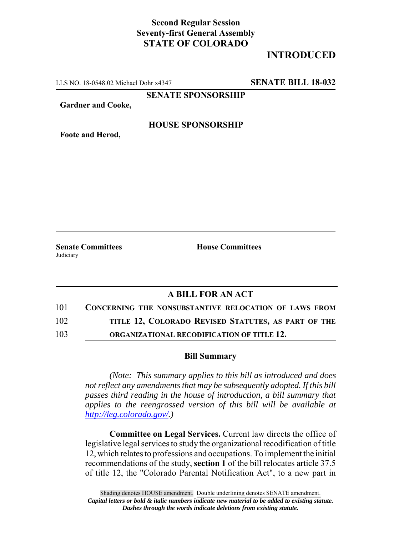## **Second Regular Session Seventy-first General Assembly STATE OF COLORADO**

## **INTRODUCED**

LLS NO. 18-0548.02 Michael Dohr x4347 **SENATE BILL 18-032**

**SENATE SPONSORSHIP**

**Gardner and Cooke,**

#### **HOUSE SPONSORSHIP**

**Foote and Herod,**

**Judiciary** 

**Senate Committees House Committees** 

## **A BILL FOR AN ACT**

| 101 |  | <b>CONCERNING THE NONSUBSTANTIVE RELOCATION OF LAWS FROM</b> |  |  |
|-----|--|--------------------------------------------------------------|--|--|
|     |  |                                                              |  |  |

102 **TITLE 12, COLORADO REVISED STATUTES, AS PART OF THE**

103 **ORGANIZATIONAL RECODIFICATION OF TITLE 12.**

#### **Bill Summary**

*(Note: This summary applies to this bill as introduced and does not reflect any amendments that may be subsequently adopted. If this bill passes third reading in the house of introduction, a bill summary that applies to the reengrossed version of this bill will be available at http://leg.colorado.gov/.)*

**Committee on Legal Services.** Current law directs the office of legislative legal services to study the organizational recodification of title 12, which relates to professions and occupations. To implement the initial recommendations of the study, **section 1** of the bill relocates article 37.5 of title 12, the "Colorado Parental Notification Act", to a new part in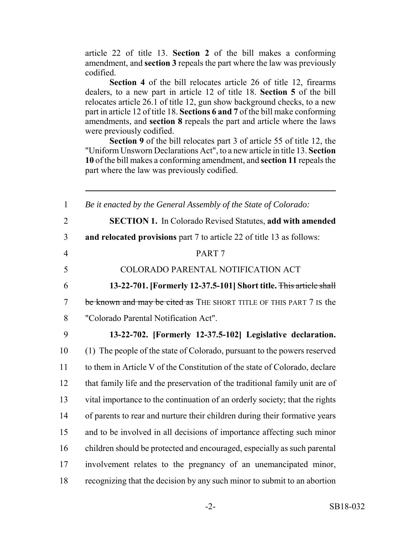article 22 of title 13. **Section 2** of the bill makes a conforming amendment, and **section 3** repeals the part where the law was previously codified.

**Section 4** of the bill relocates article 26 of title 12, firearms dealers, to a new part in article 12 of title 18. **Section 5** of the bill relocates article 26.1 of title 12, gun show background checks, to a new part in article 12 of title 18. **Sections 6 and 7** of the bill make conforming amendments, and **section 8** repeals the part and article where the laws were previously codified.

**Section 9** of the bill relocates part 3 of article 55 of title 12, the "Uniform Unsworn Declarations Act", to a new article in title 13. **Section 10** of the bill makes a conforming amendment, and **section 11** repeals the part where the law was previously codified.

| $\mathbf{1}$   | Be it enacted by the General Assembly of the State of Colorado:             |
|----------------|-----------------------------------------------------------------------------|
| $\overline{2}$ | <b>SECTION 1.</b> In Colorado Revised Statutes, add with amended            |
| 3              | and relocated provisions part 7 to article 22 of title 13 as follows:       |
| $\overline{4}$ | PART <sub>7</sub>                                                           |
| 5              | COLORADO PARENTAL NOTIFICATION ACT                                          |
| 6              | 13-22-701. [Formerly 12-37.5-101] Short title. This article shall           |
| $\overline{7}$ | be known and may be cited as THE SHORT TITLE OF THIS PART 7 IS the          |
| 8              | "Colorado Parental Notification Act".                                       |
| 9              | 13-22-702. [Formerly 12-37.5-102] Legislative declaration.                  |
| 10             | (1) The people of the state of Colorado, pursuant to the powers reserved    |
| 11             | to them in Article V of the Constitution of the state of Colorado, declare  |
| 12             | that family life and the preservation of the traditional family unit are of |
| 13             | vital importance to the continuation of an orderly society; that the rights |
| 14             | of parents to rear and nurture their children during their formative years  |
| 15             | and to be involved in all decisions of importance affecting such minor      |
| 16             | children should be protected and encouraged, especially as such parental    |
| 17             | involvement relates to the pregnancy of an unemancipated minor,             |
| 18             | recognizing that the decision by any such minor to submit to an abortion    |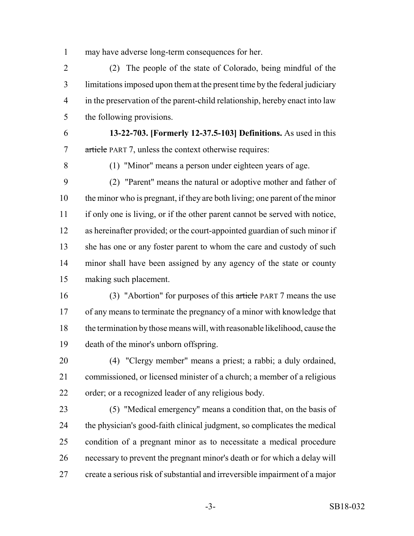may have adverse long-term consequences for her.

 (2) The people of the state of Colorado, being mindful of the limitations imposed upon them at the present time by the federal judiciary in the preservation of the parent-child relationship, hereby enact into law the following provisions.

 **13-22-703. [Formerly 12-37.5-103] Definitions.** As used in this article PART 7, unless the context otherwise requires:

(1) "Minor" means a person under eighteen years of age.

 (2) "Parent" means the natural or adoptive mother and father of the minor who is pregnant, if they are both living; one parent of the minor if only one is living, or if the other parent cannot be served with notice, as hereinafter provided; or the court-appointed guardian of such minor if 13 she has one or any foster parent to whom the care and custody of such minor shall have been assigned by any agency of the state or county making such placement.

 (3) "Abortion" for purposes of this article PART 7 means the use of any means to terminate the pregnancy of a minor with knowledge that the termination by those means will, with reasonable likelihood, cause the death of the minor's unborn offspring.

 (4) "Clergy member" means a priest; a rabbi; a duly ordained, commissioned, or licensed minister of a church; a member of a religious order; or a recognized leader of any religious body.

 (5) "Medical emergency" means a condition that, on the basis of the physician's good-faith clinical judgment, so complicates the medical condition of a pregnant minor as to necessitate a medical procedure necessary to prevent the pregnant minor's death or for which a delay will create a serious risk of substantial and irreversible impairment of a major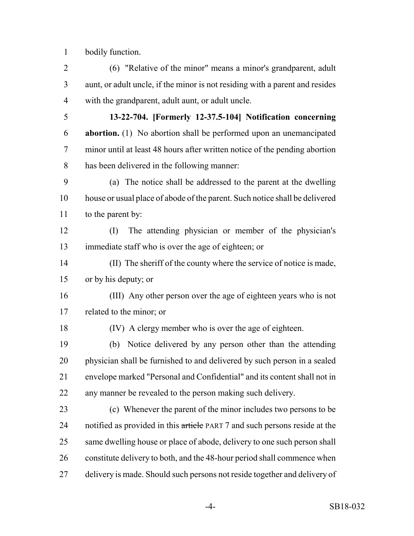bodily function.

 (6) "Relative of the minor" means a minor's grandparent, adult aunt, or adult uncle, if the minor is not residing with a parent and resides with the grandparent, adult aunt, or adult uncle.

 **13-22-704. [Formerly 12-37.5-104] Notification concerning abortion.** (1) No abortion shall be performed upon an unemancipated minor until at least 48 hours after written notice of the pending abortion has been delivered in the following manner:

 (a) The notice shall be addressed to the parent at the dwelling house or usual place of abode of the parent. Such notice shall be delivered to the parent by:

 (I) The attending physician or member of the physician's immediate staff who is over the age of eighteen; or

 (II) The sheriff of the county where the service of notice is made, or by his deputy; or

 (III) Any other person over the age of eighteen years who is not related to the minor; or

(IV) A clergy member who is over the age of eighteen.

 (b) Notice delivered by any person other than the attending physician shall be furnished to and delivered by such person in a sealed envelope marked "Personal and Confidential" and its content shall not in any manner be revealed to the person making such delivery.

 (c) Whenever the parent of the minor includes two persons to be 24 notified as provided in this article PART 7 and such persons reside at the 25 same dwelling house or place of abode, delivery to one such person shall constitute delivery to both, and the 48-hour period shall commence when delivery is made. Should such persons not reside together and delivery of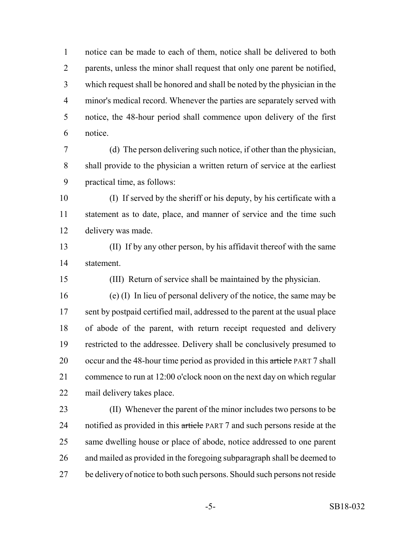notice can be made to each of them, notice shall be delivered to both parents, unless the minor shall request that only one parent be notified, which request shall be honored and shall be noted by the physician in the minor's medical record. Whenever the parties are separately served with notice, the 48-hour period shall commence upon delivery of the first notice.

 (d) The person delivering such notice, if other than the physician, shall provide to the physician a written return of service at the earliest practical time, as follows:

 (I) If served by the sheriff or his deputy, by his certificate with a statement as to date, place, and manner of service and the time such delivery was made.

 (II) If by any other person, by his affidavit thereof with the same statement.

(III) Return of service shall be maintained by the physician.

 (e) (I) In lieu of personal delivery of the notice, the same may be sent by postpaid certified mail, addressed to the parent at the usual place of abode of the parent, with return receipt requested and delivery restricted to the addressee. Delivery shall be conclusively presumed to 20 occur and the 48-hour time period as provided in this article PART 7 shall commence to run at 12:00 o'clock noon on the next day on which regular mail delivery takes place.

 (II) Whenever the parent of the minor includes two persons to be 24 notified as provided in this article PART 7 and such persons reside at the same dwelling house or place of abode, notice addressed to one parent and mailed as provided in the foregoing subparagraph shall be deemed to be delivery of notice to both such persons. Should such persons not reside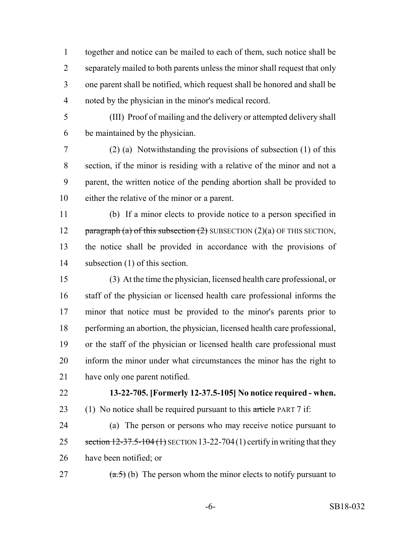together and notice can be mailed to each of them, such notice shall be separately mailed to both parents unless the minor shall request that only one parent shall be notified, which request shall be honored and shall be noted by the physician in the minor's medical record.

 (III) Proof of mailing and the delivery or attempted delivery shall be maintained by the physician.

 (2) (a) Notwithstanding the provisions of subsection (1) of this section, if the minor is residing with a relative of the minor and not a parent, the written notice of the pending abortion shall be provided to either the relative of the minor or a parent.

 (b) If a minor elects to provide notice to a person specified in 12 paragraph (a) of this subsection  $(2)$  SUBSECTION  $(2)(a)$  OF THIS SECTION, the notice shall be provided in accordance with the provisions of subsection (1) of this section.

 (3) At the time the physician, licensed health care professional, or staff of the physician or licensed health care professional informs the minor that notice must be provided to the minor's parents prior to performing an abortion, the physician, licensed health care professional, or the staff of the physician or licensed health care professional must inform the minor under what circumstances the minor has the right to have only one parent notified.

## **13-22-705. [Formerly 12-37.5-105] No notice required - when.**

23 (1) No notice shall be required pursuant to this  $\pi$  tie PART 7 if:

 (a) The person or persons who may receive notice pursuant to 25 section  $12-37.5-104(1)$  SECTION 13-22-704(1) certify in writing that they have been notified; or

27  $(a.5)$  (b) The person whom the minor elects to notify pursuant to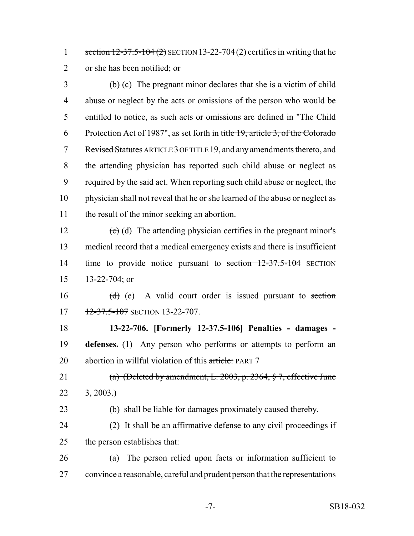1 section 12-37.5-104 (2) SECTION 13-22-704 (2) certifies in writing that he or she has been notified; or

 $\phi$  (c) The pregnant minor declares that she is a victim of child abuse or neglect by the acts or omissions of the person who would be entitled to notice, as such acts or omissions are defined in "The Child Protection Act of 1987", as set forth in title 19, article 3, of the Colorado 7 Revised Statutes ARTICLE 3 OF TITLE 19, and any amendments thereto, and the attending physician has reported such child abuse or neglect as required by the said act. When reporting such child abuse or neglect, the physician shall not reveal that he or she learned of the abuse or neglect as the result of the minor seeking an abortion.

 $\left(\text{e}\right)$  (d) The attending physician certifies in the pregnant minor's medical record that a medical emergency exists and there is insufficient time to provide notice pursuant to section 12-37.5-104 SECTION 13-22-704; or

16  $(d)$  (e) A valid court order is issued pursuant to section 17 12-37.5-107 SECTION 13-22-707.

 **13-22-706. [Formerly 12-37.5-106] Penalties - damages - defenses.** (1) Any person who performs or attempts to perform an 20 abortion in willful violation of this article: PART 7

21 (a) (Deleted by amendment, L. 2003, p. 2364, § 7, effective June 22  $3, 2003.$ 

(b) shall be liable for damages proximately caused thereby.

 (2) It shall be an affirmative defense to any civil proceedings if the person establishes that:

 (a) The person relied upon facts or information sufficient to convince a reasonable, careful and prudent person that the representations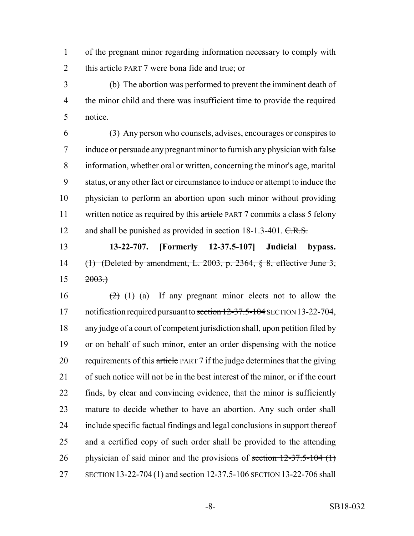of the pregnant minor regarding information necessary to comply with 2 this article PART 7 were bona fide and true; or

 (b) The abortion was performed to prevent the imminent death of the minor child and there was insufficient time to provide the required notice.

 (3) Any person who counsels, advises, encourages or conspires to induce or persuade any pregnant minor to furnish any physician with false information, whether oral or written, concerning the minor's age, marital status, or any other fact or circumstance to induce or attempt to induce the physician to perform an abortion upon such minor without providing 11 written notice as required by this article PART 7 commits a class 5 felony 12 and shall be punished as provided in section 18-1.3-401. C.R.S.

 **13-22-707. [Formerly 12-37.5-107] Judicial bypass.** (1) (Deleted by amendment, L. 2003, p. 2364, § 8, effective June 3,  $15 \t 2003.$ 

 $(2)$  (1) (a) If any pregnant minor elects not to allow the 17 notification required pursuant to section 12-37.5-104 SECTION 13-22-704, any judge of a court of competent jurisdiction shall, upon petition filed by or on behalf of such minor, enter an order dispensing with the notice 20 requirements of this article PART 7 if the judge determines that the giving of such notice will not be in the best interest of the minor, or if the court finds, by clear and convincing evidence, that the minor is sufficiently mature to decide whether to have an abortion. Any such order shall include specific factual findings and legal conclusions in support thereof and a certified copy of such order shall be provided to the attending 26 physician of said minor and the provisions of section  $12-37.5-104$  (1) 27 SECTION 13-22-704 (1) and section 12-37.5-106 SECTION 13-22-706 shall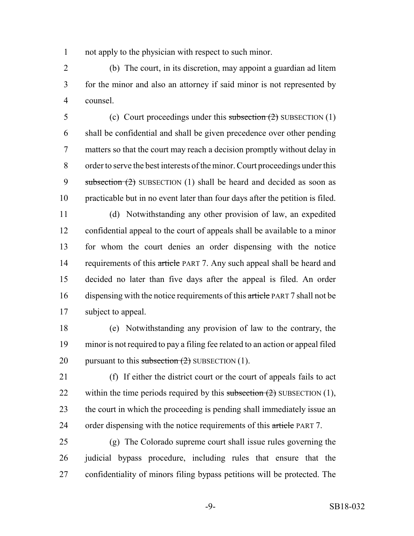not apply to the physician with respect to such minor.

 (b) The court, in its discretion, may appoint a guardian ad litem for the minor and also an attorney if said minor is not represented by counsel.

 (c) Court proceedings under this subsection (2) SUBSECTION (1) shall be confidential and shall be given precedence over other pending matters so that the court may reach a decision promptly without delay in order to serve the best interests of the minor. Court proceedings under this 9 subsection  $(2)$  SUBSECTION  $(1)$  shall be heard and decided as soon as practicable but in no event later than four days after the petition is filed.

 (d) Notwithstanding any other provision of law, an expedited confidential appeal to the court of appeals shall be available to a minor for whom the court denies an order dispensing with the notice 14 requirements of this article PART 7. Any such appeal shall be heard and decided no later than five days after the appeal is filed. An order 16 dispensing with the notice requirements of this article PART 7 shall not be subject to appeal.

 (e) Notwithstanding any provision of law to the contrary, the minor is not required to pay a filing fee related to an action or appeal filed 20 pursuant to this subsection  $(2)$  SUBSECTION  $(1)$ .

 (f) If either the district court or the court of appeals fails to act 22 within the time periods required by this subsection  $(2)$  SUBSECTION  $(1)$ , the court in which the proceeding is pending shall immediately issue an 24 order dispensing with the notice requirements of this article PART 7.

 (g) The Colorado supreme court shall issue rules governing the judicial bypass procedure, including rules that ensure that the confidentiality of minors filing bypass petitions will be protected. The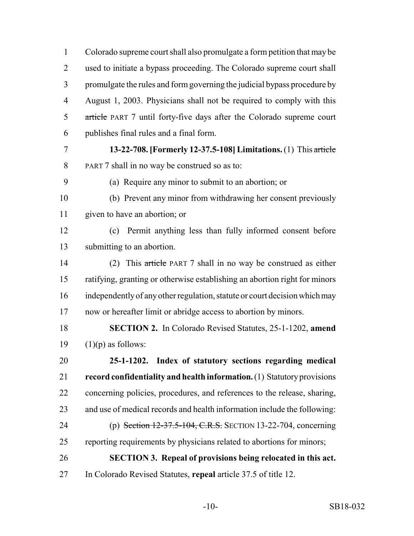Colorado supreme court shall also promulgate a form petition that may be used to initiate a bypass proceeding. The Colorado supreme court shall promulgate the rules and form governing the judicial bypass procedure by August 1, 2003. Physicians shall not be required to comply with this 5 article PART 7 until forty-five days after the Colorado supreme court publishes final rules and a final form.

 **13-22-708. [Formerly 12-37.5-108] Limitations.** (1) This article PART 7 shall in no way be construed so as to:

(a) Require any minor to submit to an abortion; or

 (b) Prevent any minor from withdrawing her consent previously given to have an abortion; or

 (c) Permit anything less than fully informed consent before submitting to an abortion.

 (2) This article PART 7 shall in no way be construed as either ratifying, granting or otherwise establishing an abortion right for minors independently of any other regulation, statute or court decision which may now or hereafter limit or abridge access to abortion by minors.

 **SECTION 2.** In Colorado Revised Statutes, 25-1-1202, **amend** 19  $(1)(p)$  as follows:

 **25-1-1202. Index of statutory sections regarding medical record confidentiality and health information.** (1) Statutory provisions concerning policies, procedures, and references to the release, sharing, and use of medical records and health information include the following: (p) Section 12-37.5-104, C.R.S. SECTION 13-22-704, concerning

reporting requirements by physicians related to abortions for minors;

**SECTION 3. Repeal of provisions being relocated in this act.**

In Colorado Revised Statutes, **repeal** article 37.5 of title 12.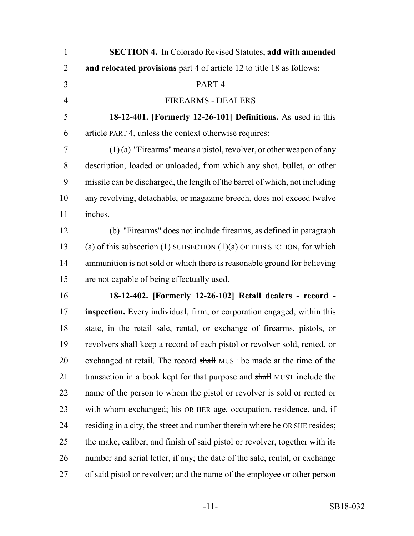| $\mathbf{1}$   | <b>SECTION 4.</b> In Colorado Revised Statutes, add with amended            |
|----------------|-----------------------------------------------------------------------------|
| $\overline{2}$ | and relocated provisions part 4 of article 12 to title 18 as follows:       |
| 3              | PART <sub>4</sub>                                                           |
| $\overline{4}$ | <b>FIREARMS - DEALERS</b>                                                   |
| 5              | 18-12-401. [Formerly 12-26-101] Definitions. As used in this                |
| 6              | article PART 4, unless the context otherwise requires:                      |
| 7              | $(1)(a)$ "Firearms" means a pistol, revolver, or other weapon of any        |
| 8              | description, loaded or unloaded, from which any shot, bullet, or other      |
| 9              | missile can be discharged, the length of the barrel of which, not including |
| 10             | any revolving, detachable, or magazine breech, does not exceed twelve       |
| 11             | inches.                                                                     |
| 12             | (b) "Firearms" does not include firearms, as defined in paragraph           |
| 13             | (a) of this subsection $(1)$ SUBSECTION $(1)(a)$ OF THIS SECTION, for which |
| 14             | ammunition is not sold or which there is reasonable ground for believing    |
| 15             | are not capable of being effectually used.                                  |
| 16             | 18-12-402. [Formerly 12-26-102] Retail dealers - record -                   |
| 17             | inspection. Every individual, firm, or corporation engaged, within this     |
| 18             | state, in the retail sale, rental, or exchange of firearms, pistols, or     |
| 19             | revolvers shall keep a record of each pistol or revolver sold, rented, or   |
| 20             | exchanged at retail. The record shall MUST be made at the time of the       |
| 21             | transaction in a book kept for that purpose and shall MUST include the      |
| 22             | name of the person to whom the pistol or revolver is sold or rented or      |
| 23             | with whom exchanged; his OR HER age, occupation, residence, and, if         |
| 24             | residing in a city, the street and number therein where he OR SHE resides;  |
| 25             | the make, caliber, and finish of said pistol or revolver, together with its |
| 26             | number and serial letter, if any; the date of the sale, rental, or exchange |
| 27             | of said pistol or revolver; and the name of the employee or other person    |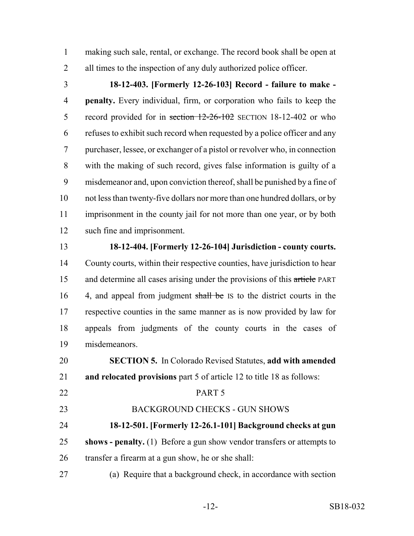making such sale, rental, or exchange. The record book shall be open at 2 all times to the inspection of any duly authorized police officer.

 **18-12-403. [Formerly 12-26-103] Record - failure to make - penalty.** Every individual, firm, or corporation who fails to keep the 5 record provided for in section  $12-26-102$  SECTION 18-12-402 or who refuses to exhibit such record when requested by a police officer and any purchaser, lessee, or exchanger of a pistol or revolver who, in connection with the making of such record, gives false information is guilty of a misdemeanor and, upon conviction thereof, shall be punished by a fine of not less than twenty-five dollars nor more than one hundred dollars, or by imprisonment in the county jail for not more than one year, or by both such fine and imprisonment.

#### **18-12-404. [Formerly 12-26-104] Jurisdiction - county courts.**

 County courts, within their respective counties, have jurisdiction to hear 15 and determine all cases arising under the provisions of this article PART 16 4, and appeal from judgment shall be IS to the district courts in the respective counties in the same manner as is now provided by law for appeals from judgments of the county courts in the cases of misdemeanors.

 **SECTION 5.** In Colorado Revised Statutes, **add with amended and relocated provisions** part 5 of article 12 to title 18 as follows:

## PART 5

BACKGROUND CHECKS - GUN SHOWS

# **18-12-501. [Formerly 12-26.1-101] Background checks at gun**

- **shows penalty.** (1) Before a gun show vendor transfers or attempts to transfer a firearm at a gun show, he or she shall:
- (a) Require that a background check, in accordance with section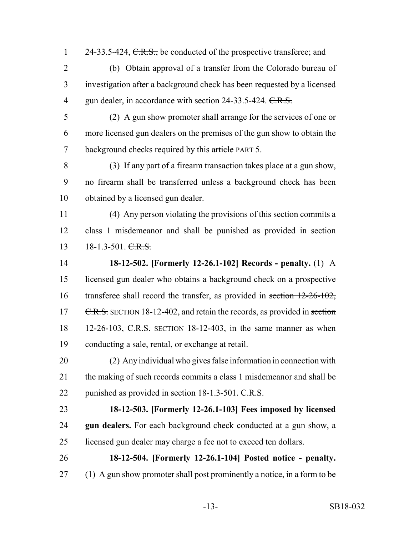- 24-33.5-424, C.R.S., be conducted of the prospective transferee; and
- (b) Obtain approval of a transfer from the Colorado bureau of investigation after a background check has been requested by a licensed 4 gun dealer, in accordance with section 24-33.5-424. C.R.S.
	-

 (2) A gun show promoter shall arrange for the services of one or more licensed gun dealers on the premises of the gun show to obtain the 7 background checks required by this article PART 5.

 (3) If any part of a firearm transaction takes place at a gun show, no firearm shall be transferred unless a background check has been obtained by a licensed gun dealer.

 (4) Any person violating the provisions of this section commits a class 1 misdemeanor and shall be punished as provided in section 13 18-1.3-501. C.R.S.

 **18-12-502. [Formerly 12-26.1-102] Records - penalty.** (1) A licensed gun dealer who obtains a background check on a prospective 16 transferee shall record the transfer, as provided in section 12-26-102, 17 C.R.S. SECTION 18-12-402, and retain the records, as provided in section 18 12-26-103, C.R.S. SECTION 18-12-403, in the same manner as when conducting a sale, rental, or exchange at retail.

 (2) Any individual who gives false information in connection with the making of such records commits a class 1 misdemeanor and shall be 22 punished as provided in section 18-1.3-501. C.R.S.

## **18-12-503. [Formerly 12-26.1-103] Fees imposed by licensed gun dealers.** For each background check conducted at a gun show, a

- licensed gun dealer may charge a fee not to exceed ten dollars.
- **18-12-504. [Formerly 12-26.1-104] Posted notice penalty.** (1) A gun show promoter shall post prominently a notice, in a form to be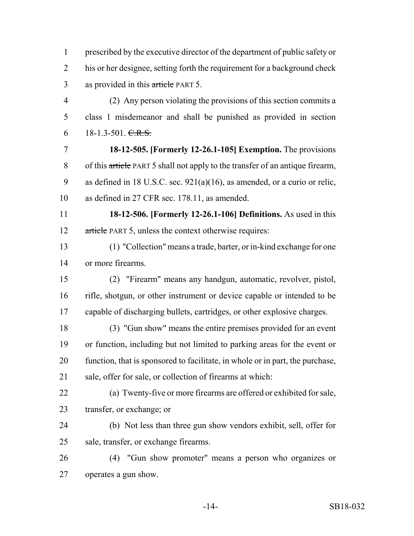prescribed by the executive director of the department of public safety or his or her designee, setting forth the requirement for a background check 3 as provided in this article PART 5.

 (2) Any person violating the provisions of this section commits a class 1 misdemeanor and shall be punished as provided in section  $6 \qquad 18-1.3-501. \text{ C.R.S.}$ 

 **18-12-505. [Formerly 12-26.1-105] Exemption.** The provisions of this article PART 5 shall not apply to the transfer of an antique firearm, as defined in 18 U.S.C. sec. 921(a)(16), as amended, or a curio or relic, as defined in 27 CFR sec. 178.11, as amended.

 **18-12-506. [Formerly 12-26.1-106] Definitions.** As used in this 12 article PART 5, unless the context otherwise requires:

 (1) "Collection" means a trade, barter, or in-kind exchange for one or more firearms.

 (2) "Firearm" means any handgun, automatic, revolver, pistol, rifle, shotgun, or other instrument or device capable or intended to be capable of discharging bullets, cartridges, or other explosive charges.

 (3) "Gun show" means the entire premises provided for an event or function, including but not limited to parking areas for the event or function, that is sponsored to facilitate, in whole or in part, the purchase, sale, offer for sale, or collection of firearms at which:

- (a) Twenty-five or more firearms are offered or exhibited for sale, transfer, or exchange; or
- (b) Not less than three gun show vendors exhibit, sell, offer for sale, transfer, or exchange firearms.

 (4) "Gun show promoter" means a person who organizes or operates a gun show.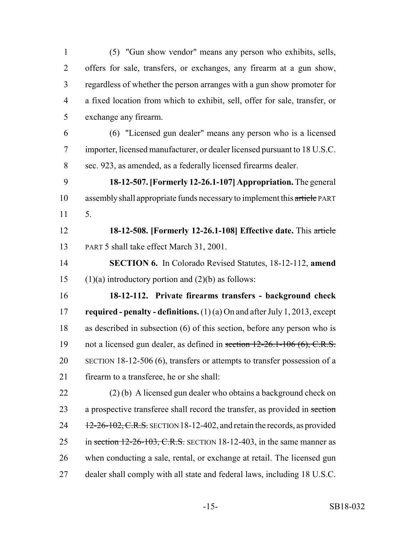(5) "Gun show vendor" means any person who exhibits, sells, offers for sale, transfers, or exchanges, any firearm at a gun show, regardless of whether the person arranges with a gun show promoter for a fixed location from which to exhibit, sell, offer for sale, transfer, or exchange any firearm.

 (6) "Licensed gun dealer" means any person who is a licensed importer, licensed manufacturer, or dealer licensed pursuant to 18 U.S.C. sec. 923, as amended, as a federally licensed firearms dealer.

 **18-12-507. [Formerly 12-26.1-107] Appropriation.** The general 10 assembly shall appropriate funds necessary to implement this article PART 5.

 **18-12-508. [Formerly 12-26.1-108] Effective date.** This article PART 5 shall take effect March 31, 2001.

 **SECTION 6.** In Colorado Revised Statutes, 18-12-112, **amend** 15 (1)(a) introductory portion and  $(2)(b)$  as follows:

 **18-12-112. Private firearms transfers - background check required - penalty - definitions.** (1) (a) On and after July 1, 2013, except as described in subsection (6) of this section, before any person who is not a licensed gun dealer, as defined in section 12-26.1-106 (6), C.R.S. SECTION 18-12-506 (6), transfers or attempts to transfer possession of a firearm to a transferee, he or she shall:

 (2) (b) A licensed gun dealer who obtains a background check on 23 a prospective transferee shall record the transfer, as provided in section  $12-26-102$ , C.R.S. SECTION 18-12-402, and retain the records, as provided 25 in section 12-26-103, C.R.S. SECTION 18-12-403, in the same manner as when conducting a sale, rental, or exchange at retail. The licensed gun dealer shall comply with all state and federal laws, including 18 U.S.C.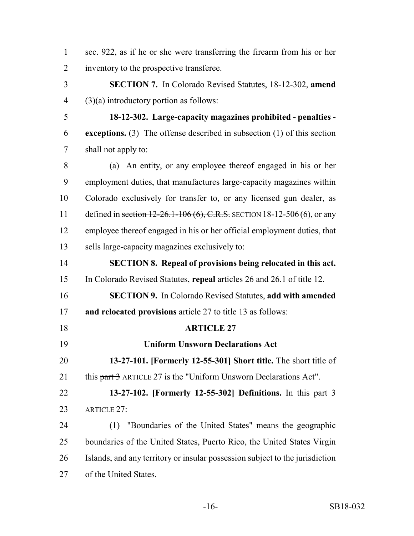| sec. 922, as if he or she were transferring the firearm from his or her |
|-------------------------------------------------------------------------|
| 2 inventory to the prospective transferee.                              |

 **SECTION 7.** In Colorado Revised Statutes, 18-12-302, **amend** (3)(a) introductory portion as follows:

 **18-12-302. Large-capacity magazines prohibited - penalties - exceptions.** (3) The offense described in subsection (1) of this section shall not apply to:

 (a) An entity, or any employee thereof engaged in his or her employment duties, that manufactures large-capacity magazines within Colorado exclusively for transfer to, or any licensed gun dealer, as 11 defined in section 12-26.1-106 (6), C.R.S. SECTION 18-12-506 (6), or any employee thereof engaged in his or her official employment duties, that sells large-capacity magazines exclusively to:

 **SECTION 8. Repeal of provisions being relocated in this act.** In Colorado Revised Statutes, **repeal** articles 26 and 26.1 of title 12.

 **SECTION 9.** In Colorado Revised Statutes, **add with amended and relocated provisions** article 27 to title 13 as follows:

## **ARTICLE 27**

**Uniform Unsworn Declarations Act**

 **13-27-101. [Formerly 12-55-301] Short title.** The short title of 21 this part 3 ARTICLE 27 is the "Uniform Unsworn Declarations Act".

 **13-27-102. [Formerly 12-55-302] Definitions.** In this part 3 23 ARTICLE 27:

 (1) "Boundaries of the United States" means the geographic boundaries of the United States, Puerto Rico, the United States Virgin Islands, and any territory or insular possession subject to the jurisdiction of the United States.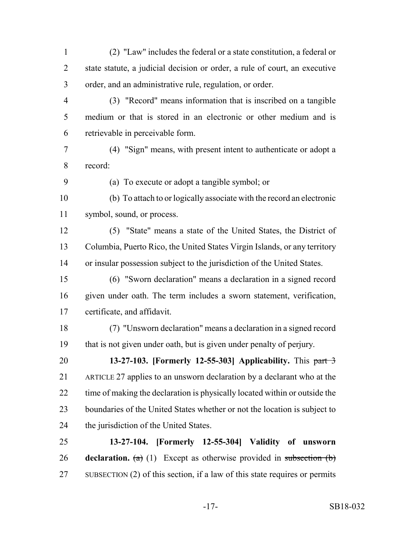(2) "Law" includes the federal or a state constitution, a federal or state statute, a judicial decision or order, a rule of court, an executive order, and an administrative rule, regulation, or order.

- (3) "Record" means information that is inscribed on a tangible medium or that is stored in an electronic or other medium and is retrievable in perceivable form.
- (4) "Sign" means, with present intent to authenticate or adopt a record:
- 

(a) To execute or adopt a tangible symbol; or

- (b) To attach to or logically associate with the record an electronic symbol, sound, or process.
- (5) "State" means a state of the United States, the District of Columbia, Puerto Rico, the United States Virgin Islands, or any territory or insular possession subject to the jurisdiction of the United States.
- (6) "Sworn declaration" means a declaration in a signed record given under oath. The term includes a sworn statement, verification, certificate, and affidavit.
- (7) "Unsworn declaration" means a declaration in a signed record that is not given under oath, but is given under penalty of perjury.
- **13-27-103. [Formerly 12-55-303] Applicability.** This part 3 ARTICLE 27 applies to an unsworn declaration by a declarant who at the time of making the declaration is physically located within or outside the boundaries of the United States whether or not the location is subject to the jurisdiction of the United States.
- **13-27-104. [Formerly 12-55-304] Validity of unsworn declaration.** (a) (1) Except as otherwise provided in subsection (b) SUBSECTION (2) of this section, if a law of this state requires or permits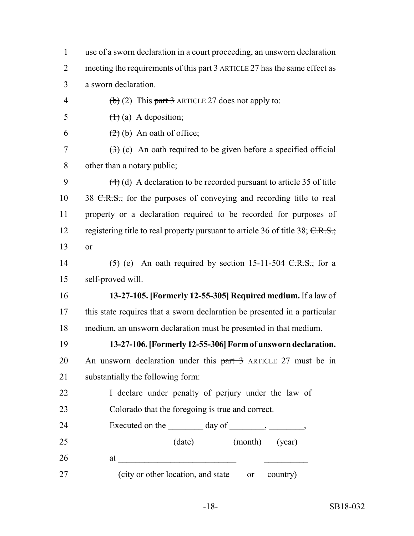| $\mathbf{1}$   | use of a sworn declaration in a court proceeding, an unsworn declaration                |
|----------------|-----------------------------------------------------------------------------------------|
| $\overline{2}$ | meeting the requirements of this part 3 ARTICLE 27 has the same effect as               |
| 3              | a sworn declaration.                                                                    |
| $\overline{4}$ | $\left(\frac{b}{c}\right)$ (2) This part 3 ARTICLE 27 does not apply to:                |
| 5              | $(1)$ (a) A deposition;                                                                 |
| 6              | $(2)$ (b) An oath of office;                                                            |
| 7              | $\left(\frac{1}{2}\right)$ (c) An oath required to be given before a specified official |
| 8              | other than a notary public;                                                             |
| 9              | $(4)$ (d) A declaration to be recorded pursuant to article 35 of title                  |
| 10             | 38 $C.R.S.,$ for the purposes of conveying and recording title to real                  |
| 11             | property or a declaration required to be recorded for purposes of                       |
| 12             | registering title to real property pursuant to article 36 of title 38; C.R.S.;          |
| 13             | or                                                                                      |
| 14             | $(5)$ (e) An oath required by section 15-11-504 <del>C.R.S.,</del> for a                |
| 15             | self-proved will.                                                                       |
| 16             | 13-27-105. [Formerly 12-55-305] Required medium. If a law of                            |
| 17             | this state requires that a sworn declaration be presented in a particular               |
| 18             | medium, an unsworn declaration must be presented in that medium.                        |
| 19             | 13-27-106. [Formerly 12-55-306] Form of unsworn declaration.                            |
| 20             | An unsworn declaration under this $part-3$ ARTICLE 27 must be in                        |
| 21             | substantially the following form:                                                       |
| 22             | I declare under penalty of perjury under the law of                                     |
| 23             | Colorado that the foregoing is true and correct.                                        |
| 24             | Executed on the $\_\_\_\_\_\$ day of $\_\_\_\_\_\_\_\_\_\_\_\_\_$                       |
| 25             | (date) (month) (year)                                                                   |
| 26             |                                                                                         |
| 27             | (city or other location, and state<br>country)<br><sub>or</sub>                         |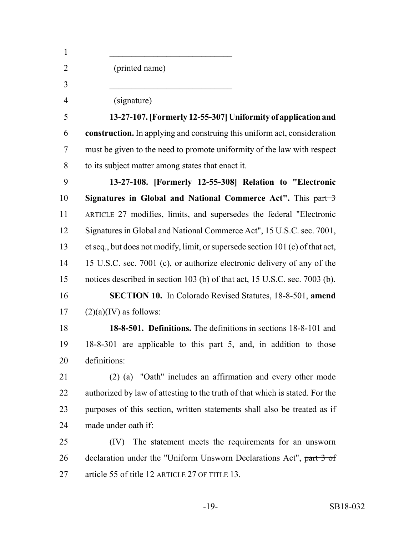| $\mathbf{1}$   |                                                                                |
|----------------|--------------------------------------------------------------------------------|
| $\overline{2}$ | (printed name)                                                                 |
| 3              |                                                                                |
| $\overline{4}$ | (signature)                                                                    |
| 5              | 13-27-107. [Formerly 12-55-307] Uniformity of application and                  |
| 6              | construction. In applying and construing this uniform act, consideration       |
| 7              | must be given to the need to promote uniformity of the law with respect        |
| 8              | to its subject matter among states that enact it.                              |
| 9              | 13-27-108. [Formerly 12-55-308] Relation to "Electronic                        |
| 10             | Signatures in Global and National Commerce Act". This part 3                   |
| 11             | ARTICLE 27 modifies, limits, and supersedes the federal "Electronic            |
| 12             | Signatures in Global and National Commerce Act", 15 U.S.C. sec. 7001,          |
| 13             | et seq., but does not modify, limit, or supersede section 101 (c) of that act, |
| 14             | 15 U.S.C. sec. 7001 (c), or authorize electronic delivery of any of the        |
| 15             | notices described in section 103 (b) of that act, 15 U.S.C. sec. 7003 (b).     |
| 16             | <b>SECTION 10.</b> In Colorado Revised Statutes, 18-8-501, amend               |
| 17             | $(2)(a)(IV)$ as follows:                                                       |
| 18             | 18-8-501. Definitions. The definitions in sections 18-8-101 and                |
| 19             | 18-8-301 are applicable to this part 5, and, in addition to those              |
| 20             | definitions:                                                                   |
| 21             | (2) (a) "Oath" includes an affirmation and every other mode                    |
| 22             | authorized by law of attesting to the truth of that which is stated. For the   |
| 23             | purposes of this section, written statements shall also be treated as if       |
| 24             | made under oath if:                                                            |
| 25             | The statement meets the requirements for an unsworn<br>(IV)                    |
| 26             | declaration under the "Uniform Unsworn Declarations Act", part 3 of            |
| 27             | article 55 of title 12 ARTICLE 27 OF TITLE 13.                                 |
|                |                                                                                |